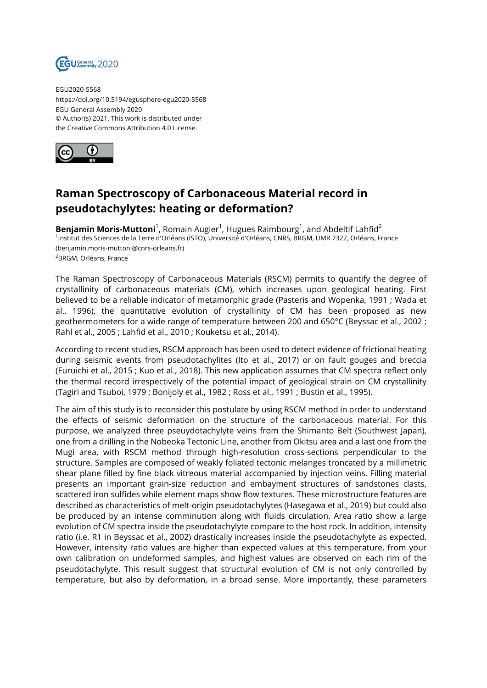

EGU2020-5568 https://doi.org/10.5194/egusphere-egu2020-5568 EGU General Assembly 2020 © Author(s) 2021. This work is distributed under the Creative Commons Attribution 4.0 License.



## **Raman Spectroscopy of Carbonaceous Material record in pseudotachylytes: heating or deformation?**

**Benjamin Moris-Muttoni**<sup>1</sup>, Romain Augier<sup>1</sup>, Hugues Raimbourg<sup>1</sup>, and Abdeltif Lahfid<sup>2</sup> 1 Institut des Sciences de la Terre d'Orléans (ISTO), Université d'Orléans, CNRS, BRGM, UMR 7327, Orléans, France (benjamin.moris-muttoni@cnrs-orleans.fr) <sup>2</sup>BRGM, Orléans, France

The Raman Spectroscopy of Carbonaceous Materials (RSCM) permits to quantify the degree of crystallinity of carbonaceous materials (CM), which increases upon geological heating. First believed to be a reliable indicator of metamorphic grade (Pasteris and Wopenka, 1991 ; Wada et al., 1996), the quantitative evolution of crystallinity of CM has been proposed as new geothermometers for a wide range of temperature between 200 and 650°C (Beyssac et al., 2002 ; Rahl et al., 2005 ; Lahfid et al., 2010 ; Kouketsu et al., 2014).

According to recent studies, RSCM approach has been used to detect evidence of frictional heating during seismic events from pseudotachylites (Ito et al., 2017) or on fault gouges and breccia (Furuichi et al., 2015 ; Kuo et al., 2018). This new application assumes that CM spectra reflect only the thermal record irrespectively of the potential impact of geological strain on CM crystallinity (Tagiri and Tsuboi, 1979 ; Bonijoly et al., 1982 ; Ross et al., 1991 ; Bustin et al., 1995).

The aim of this study is to reconsider this postulate by using RSCM method in order to understand the effects of seismic deformation on the structure of the carbonaceous material. For this purpose, we analyzed three pseuydotachylyte veins from the Shimanto Belt (Southwest Japan), one from a drilling in the Nobeoka Tectonic Line, another from Okitsu area and a last one from the Mugi area, with RSCM method through high-resolution cross-sections perpendicular to the structure. Samples are composed of weakly foliated tectonic melanges troncated by a millimetric shear plane filled by fine black vitreous material accompanied by injection veins. Filling material presents an important grain-size reduction and embayment structures of sandstones clasts, scattered iron sulfides while element maps show flow textures. These microstructure features are described as characteristics of melt-origin pseudotachylytes (Hasegawa et al., 2019) but could also be produced by an intense comminution along with fluids circulation. Area ratio show a large evolution of CM spectra inside the pseudotachylyte compare to the host rock. In addition, intensity ratio (i.e. R1 in Beyssac et al., 2002) drastically increases inside the pseudotachylyte as expected. However, intensity ratio values are higher than expected values at this temperature, from your own calibration on undeformed samples, and highest values are observed on each rim of the pseudotachylyte. This result suggest that structural evolution of CM is not only controlled by temperature, but also by deformation, in a broad sense. More importantly, these parameters